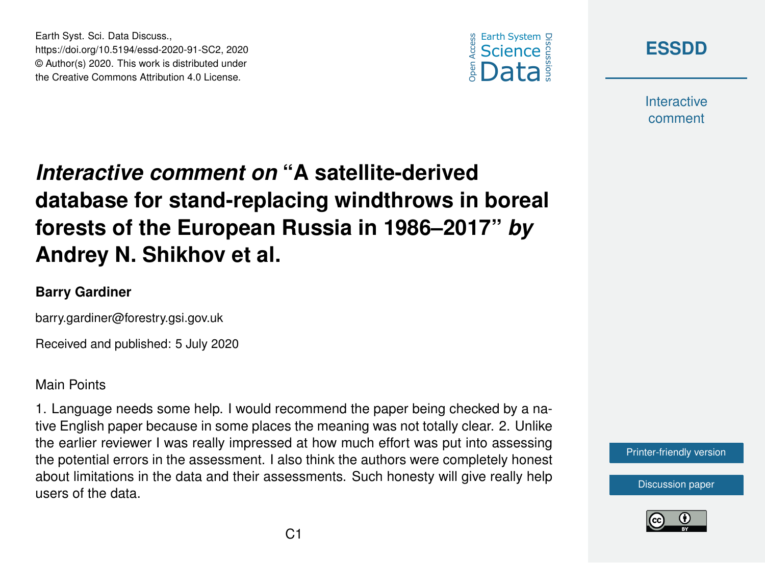



**Interactive** comment

## *Interactive comment on* **"A satellite-derived database for stand-replacing windthrows in boreal forests of the European Russia in 1986–2017"** *by* **Andrey N. Shikhov et al.**

## **Barry Gardiner**

Earth Syst. Sci. Data Discuss.,

https://doi.org/10.5194/essd-2020-91-SC2, 2020 © Author(s) 2020. This work is distributed under the Creative Commons Attribution 4.0 License.

barry.gardiner@forestry.gsi.gov.uk

Received and published: 5 July 2020

## Main Points

1. Language needs some help. I would recommend the paper being checked by a native English paper because in some places the meaning was not totally clear. 2. Unlike the earlier reviewer I was really impressed at how much effort was put into assessing the potential errors in the assessment. I also think the authors were completely honest about limitations in the data and their assessments. Such honesty will give really help users of the data.



[Discussion paper](https://essd.copernicus.org/preprints/essd-2020-91)

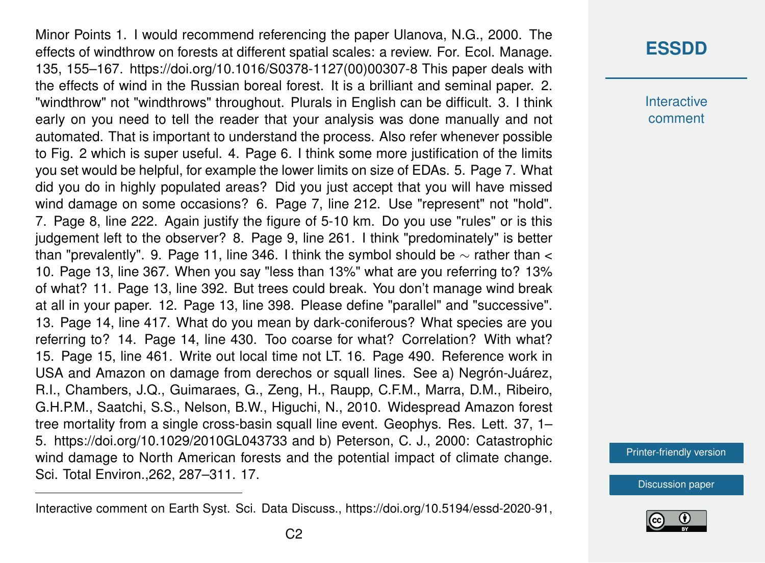Minor Points 1. I would recommend referencing the paper Ulanova, N.G., 2000. The effects of windthrow on forests at different spatial scales: a review. For. Ecol. Manage. 135, 155–167. https://doi.org/10.1016/S0378-1127(00)00307-8 This paper deals with the effects of wind in the Russian boreal forest. It is a brilliant and seminal paper. 2. "windthrow" not "windthrows" throughout. Plurals in English can be difficult. 3. I think early on you need to tell the reader that your analysis was done manually and not automated. That is important to understand the process. Also refer whenever possible to Fig. 2 which is super useful. 4. Page 6. I think some more justification of the limits you set would be helpful, for example the lower limits on size of EDAs. 5. Page 7. What did you do in highly populated areas? Did you just accept that you will have missed wind damage on some occasions? 6. Page 7, line 212. Use "represent" not "hold". 7. Page 8, line 222. Again justify the figure of 5-10 km. Do you use "rules" or is this judgement left to the observer? 8. Page 9, line 261. I think "predominately" is better than "prevalently". 9. Page 11, line 346. I think the symbol should be  $\sim$  rather than < 10. Page 13, line 367. When you say "less than 13%" what are you referring to? 13% of what? 11. Page 13, line 392. But trees could break. You don't manage wind break at all in your paper. 12. Page 13, line 398. Please define "parallel" and "successive". 13. Page 14, line 417. What do you mean by dark-coniferous? What species are you referring to? 14. Page 14, line 430. Too coarse for what? Correlation? With what? 15. Page 15, line 461. Write out local time not LT. 16. Page 490. Reference work in USA and Amazon on damage from derechos or squall lines. See a) Negrón-Juárez, R.I., Chambers, J.Q., Guimaraes, G., Zeng, H., Raupp, C.F.M., Marra, D.M., Ribeiro, G.H.P.M., Saatchi, S.S., Nelson, B.W., Higuchi, N., 2010. Widespread Amazon forest tree mortality from a single cross-basin squall line event. Geophys. Res. Lett. 37, 1– 5. https://doi.org/10.1029/2010GL043733 and b) Peterson, C. J., 2000: Catastrophic wind damage to North American forests and the potential impact of climate change. Sci. Total Environ.,262, 287–311. 17.

**Interactive** comment

[Printer-friendly version](https://essd.copernicus.org/preprints/essd-2020-91/essd-2020-91-SC2-print.pdf)

[Discussion paper](https://essd.copernicus.org/preprints/essd-2020-91)



Interactive comment on Earth Syst. Sci. Data Discuss., https://doi.org/10.5194/essd-2020-91,